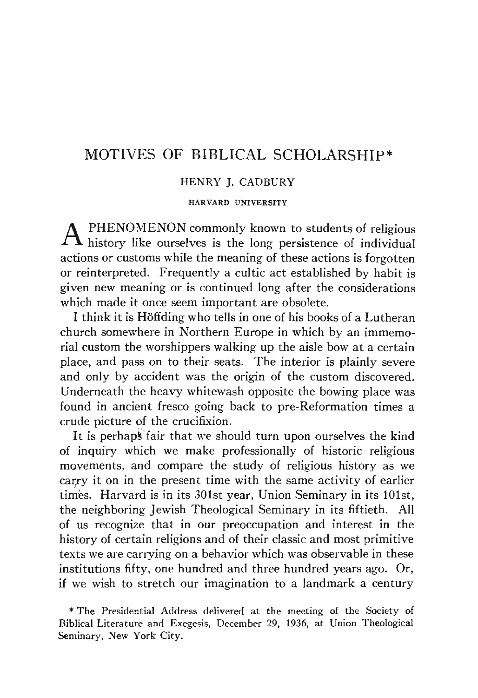## MOTIVES OF BIBLICAL SCHOLARSHIP\*

## HENRY J. CADBURY

## HARVARD UNIVERSITY

A PHENOMENON commonly known to students of religious history like ourselves is the long persistence of individual actions or customs while the meaning of these actions is forgotten or reinterpreted. Frequently a cultic act established by habit is given new meaning or is continued long after the considerations which made it once seem important are obsolete.

I think it is Hoffding who tells in one of his books of a Lutheran church somewhere in Northern Europe in which by an immemorial custom the worshippers walking up the aisle bow at a certain place, and pass on to their seats. The interior is plainly severe and only by accident was the origin of the custom discovered. Underneath the heavy whitewash opposite the bowing place was found in ancient fresco going back to pre-Reformation times a crude picture of the crucifixion.

It is perhaps fair that we should turn upon ourselves the kind of inquiry which we make professionally of historic religious mqvements, and compare the study of religious history as we carry it on in the present time with the same activity of earlier times. Harvard is in its 301st year, Union Seminary in its 101st, the neighboring Jewish Theological Seminary in its fiftieth. All of us recognize that in our preoccupation and interest in the history of certain religions and of their classic and most primitive texts we are carrying on a behavior which was observable in these institutions fifty, one hundred and three hundred years ago. Or, if we wish to stretch our imagination to a landmark a century

<sup>\*</sup> The Presidential Address delivered at the meeting of the Society of Biblical Literature and Exegesis, December 29, 1936, at Union Theological Seminary, New York City.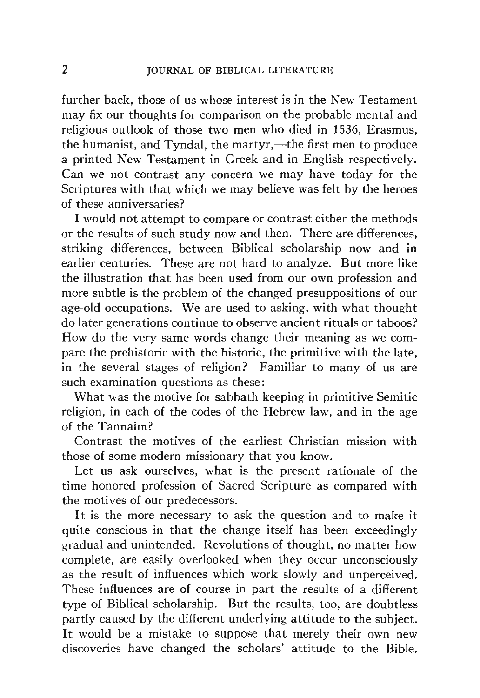further back, those of us whose interest is in the New Testament may fix our thoughts for comparison on the probable mental and religious outlook of those two men who died in 1536, Erasmus, the humanist, and Tyndal, the martyr,—the first men to produce a printed New Testament in Greek and in English respectively. Can we not contrast any concern we may have today for the Scriptures with that which we may believe was felt by the heroes of these anniversaries?

I would not attempt to compare or contrast either the methods or the results of such study now and then. There are differences, striking differences, between Biblical scholarship now and in earlier centuries. These are not hard to analyze. But more like the illustration that has been used from our own profession and more subtle is the problem of the changed presuppositions of our age-old occupations. We are used to asking, with what thought do later generations continue to observe ancient rituals or taboos? How do the very same words change their meaning as we compare the prehistoric with the historic, the primitive with the late, in the several stages of religion? Familiar to many of us are such examination questions as these:

What was the motive for sabbath keeping in primitive Semitic religion, in each of the codes of the Hebrew law, and in the age of the Tannaim?

Contrast the motives of the earliest Christian mission with those of some modern missionary that you know.

Let us ask ourselves, what is the present rationale of the time honored profession of Sacred Scripture as compared with the motives of our predecessors.

It is the more necessary to ask the question and to make it quite conscious in that the change itself has been exceedingly gradual and unintended. Revolutions of thought, no matter how complete, are easily overlooked when they occur unconsciously as the result of influences which work slowly and unperceived. These influences are of course in part the results of a different type of Biblical scholarship. But the results, too, are doubtless partly caused by the different underlying attitude to the subject. It would be a mistake to suppose that merely their own new discoveries have changed the scholars' attitude to the Bible.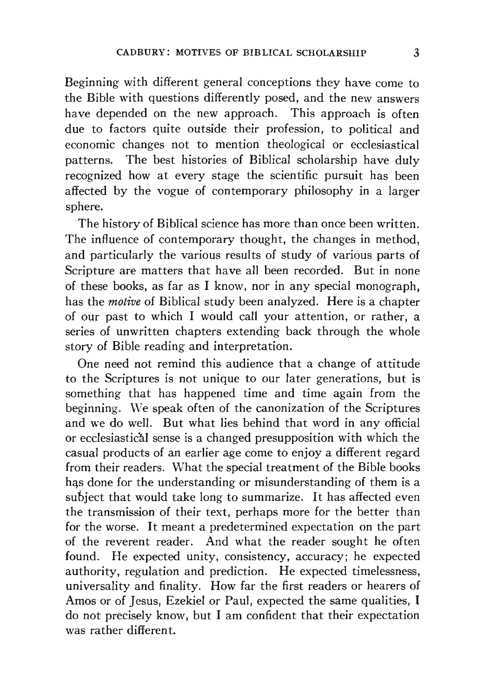Beginning with different general conceptions they have come to the Bible with questions differently posed, and the new answers have depended on the new approach. This approach is often due to factors quite outside their profession, to political and economic changes not to mention theological or ecclesiastical patterns. The best histories of Biblical scholarship have duly recognized how at every stage the scientific pursuit has been affected by the vogue of contemporary philosophy in a larger sphere.

The history of Biblical science has more than once been written. The influence of contemporary thought, the changes in method, and particularly the various results of study of various parts of Scripture are matters that have all been recorded. But in none of these books, as far as I know, nor in any special monograph, has the *motive* of Biblical study been analyzed. Here is a chapter of our past to which I would call your attention, or rather, a series of unwritten chapters extending back through the whole story of Bible reading and interpretation.

One need not remind this audience that a change of attitude to the Scriptures is not unique to our later generations, but is something that has happened time and time again from the beginning. We speak often of the canonization of the Scriptures and we do well. But what lies behind that word in any official or ecclesiastical sense is a changed presupposition with which the casual products of an earlier age come to enjoy a different regard from their readers. What the special treatment of the Bible books has done for the understanding or misunderstanding of them is a subject that would take long to summarize. It has affected even the transmission of their text, perhaps more for the better than for the worse. It meant a predetermined expectation on the part of the reverent reader. And what the reader sought he often found. He expected unity, consistency, accuracy; he expected authority, regulation and prediction. He expected timelessness, universality and finality. How far the first readers or hearers of Amos or of Jesus, Ezekiel or Paul, expected the same qualities, I do not precisely know, but I am confident that their expectation was rather different.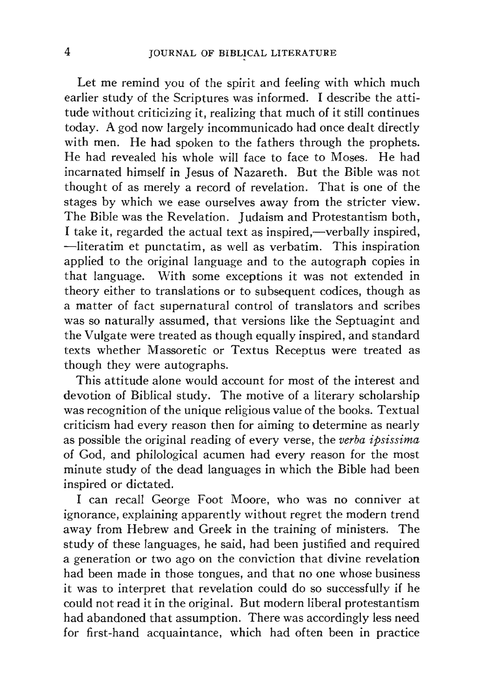Let me remind you of the spirit and feeling with which much earlier study of the Scriptures was informed. I describe the attitude without criticizing it, realizing that much of it still continues today. A god now largely incommunicado had once dealt directly with men. He had spoken to the fathers through the prophets. He had revealed his whole will face to face to Moses. He had incarnated himself in Jesus of Nazareth. But the Bible was not thought of as merely a record of revelation. That is one of the stages by which we ease ourselves away from the stricter view. The Bible was the Revelation. Judaism and Protestantism both, I take it, regarded the actual text as inspired,—verbally inspired, -literatim et punctatim, as well as verbatim. This inspiration applied to the original language and to the autograph copies in that language. With some exceptions it was not extended in theory either to translations or to subsequent codices, though as a matter of fact supernatural control of translators and scribes was so naturally assumed, that versions like the Septuagint and the Vulgate were treated as though equally inspired, and standard texts whether Massoretic or Textus Receptus were treated as though they were autographs.

This attitude alone would account for most of the interest and devotion of Biblical study. The motive of a literary scholarship was recognition of the unique religious value of the books. Textual criticism had every reason then for aiming to determine as nearly as possible the original reading of every verse, the *verba ipsissima*  of God, and philological acumen had every reason for the most minute study of the dead languages in which the Bible had been inspired or dictated.

I can recall George Foot Moore, who was no conniver at ignorance, explaining apparently without regret the modern trend away from Hebrew and Greek in the training of ministers. The study of these languages, he said, had been justified and required a generation or two ago on the conviction that divine revelation had been made in those tongues, and that no one whose business it was to interpret that revelation could do so successfully if he could not read it in the original. But modern liberal protestantism had abandoned that assumption. There was accordingly less need for first-hand acquaintance, which had often been in practice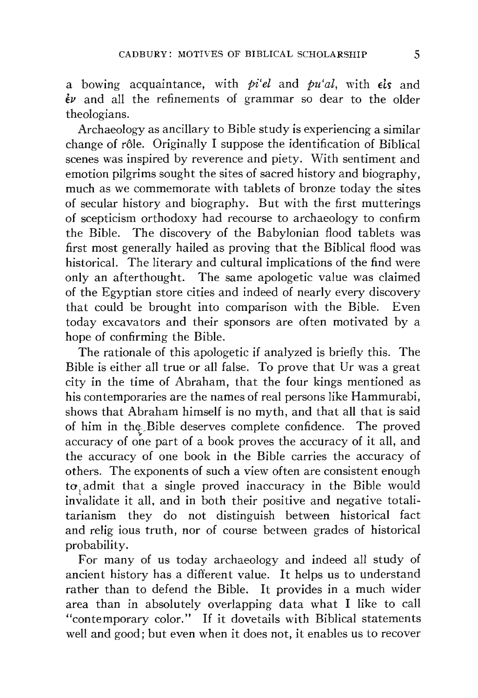a bowing acquaintance, with *pi'el* and *pu'al*, with *els* and  $\dot{\epsilon}$  and all the refinements of grammar so dear to the older theologians.

Archaeology as ancillary to Bible study is experiencing a similar change of rôle. Originally I suppose the identification of Biblical scenes was inspired by reverence and piety. With sentiment and emotion pilgrims sought the sites of sacred history and biography, much as we commemorate with tablets of bronze today the sites of secular history and biography. But with the first mutterings of scepticism orthodoxy had recourse to archaeology to confirm the Bible. The discovery of the Babylonian flood tablets was first most generally hailed as proving that the Biblical flood was historical. The literary and cultural implications of the find were only an afterthought. The same apologetic value was claimed of the Egyptian store cities and indeed of nearly every discovery that could be brought into comparison with the Bible. Even today excavators and their sponsors are often motivated by a hope of confirming the Bible.

The rationale of this apologetic if analyzed is briefly this. The Bible is either all true or all false. To prove that Ur was a great city in the time of Abraham, that the four kings mentioned as his contemporaries are the names of real persons like Hammurabi, shows that Abraham himself is no myth, and that all that is said of him in the Bible deserves complete confidence. The proved accuracy of one part of a book proves the accuracy of it all, and the accuracy of one book in the Bible carries the accuracy of others. The exponents of such a view often are consistent enough *to,* admit that a single proved inaccuracy in the Bible would invalidate it all, and in both their positive and negative totalitarianism they do not distinguish between historical fact and relig ious truth, nor of course between grades of historical probability.

For many of us today archaeology and indeed all study of ancient history has a different value. It helps us to understand rather than to defend the Bible. It provides in a much wider area than in absolutely overlapping data what I like to call "contemporary color." If it dovetails with Biblical statements well and good; but even when it does not, it enables us to recover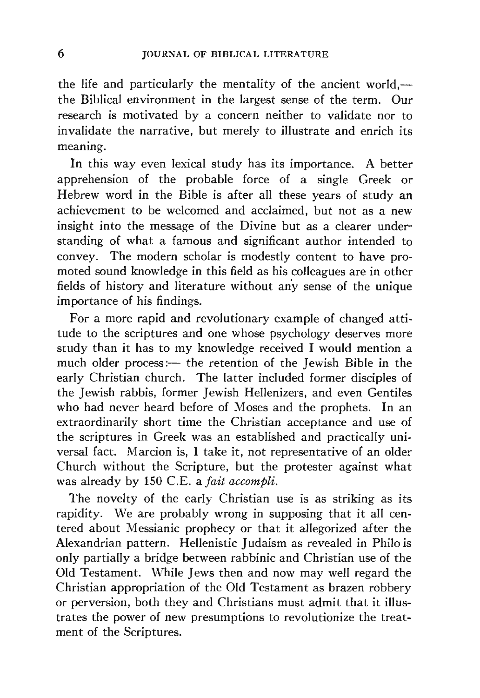the life and particularly the mentality of the ancient world, $$ the Biblical environment in the largest sense of the term. Our research is motivated by a concern neither to validate nor to invalidate the narrative, but merely to illustrate and enrich its meaning.

In this way even lexical study has its importance. A better apprehension of the probable force of a single Greek or Hebrew word in the Bible is after all these years of study an achievement to be welcomed and acclaimed, but not as a new insight into the message of the Divine but as a clearer understanding of what a famous and significant author intended to convey. The modern scholar is modestly content to have promoted sound knowledge in this field as his colleagues are in other fields of history and literature without any sense of the unique importance of his findings.

For a more rapid and revolutionary example of changed attitude to the scriptures and one whose psychology deserves more study than it has to my knowledge received I would mention a much older process:— the retention of the Jewish Bible in the early Christian church. The latter included former disciples of the Jewish rabbis, former Jewish Hellenizers, and even Gentiles who had never heard before of Moses and the prophets. In an extraordinarily short time the Christian acceptance and use of the scriptures in Greek was an established and practically universal fact. Marcion is, I take it, not representative of an older Church without the Scripture, but the protester against what was already by 150 C.E. a *fait accompli*.

The novelty of the early Christian use is as striking as its rapidity. We are probably wrong in supposing that it all centered about Messianic prophecy or that it allegorized after the Alexandrian pattern. Hellenistic Judaism as revealed in Philo is only partially a bridge between rabbinic and Christian use of the Old Testament. While Jews then and now may well regard the Christian appropriation of the Old Testament as brazen robbery or perversion, both they and Christians must admit that it illustrates the power of new presumptions to revolutionize the treatment of the Scriptures.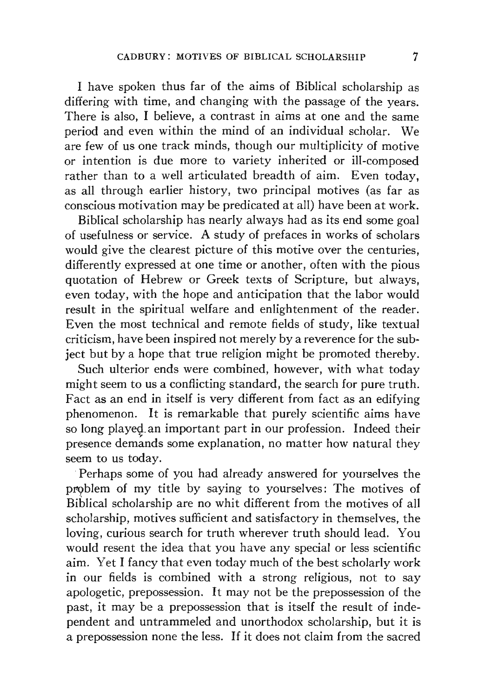I have spoken thus far of the aims of Biblical scholarship as differing with time, and changing with the passage of the years. There is also, I believe, a contrast in aims at one and the same period and even within the mind of an individual scholar. We are few of us one track minds, though our multiplicity of motive or intention is due more to variety inherited or ill-composed rather than to a well articulated breadth of aim. Even today, as all through earlier history, two principal motives (as far as conscious motivation may be predicated at all) have been at work.

Biblical scholarship has nearly always had as its end some goal of usefulness or service. A study of prefaces in works of scholars would give the clearest picture of this motive over the centuries, differently expressed at one time or another, often with the pious quotation of Hebrew or Greek texts of Scripture, but always, even today, with the hope and anticipation that the labor would result in the spiritual welfare and enlightenment of the reader. Even the most technical and remote fields of study, like textual criticism, have been inspired not merely by a reverence for the subject but by a hope that true religion might be promoted thereby.

Such ulterior ends were combined, however, with what today might seem to us a conflicting standard, the search for pure truth. Fact as an end in itself is very different from fact as an edifying phenomenon. It is remarkable that purely scientific aims have so long played an important part in our profession. Indeed their presence demands some explanation, no matter how natural they seem to us today.

Perhaps some of you had already answered for yourselves the problem of my title by saying to yourselves: The motives of Biblical scholarship are no whit different from the motives of all scholarship, motives sufficient and satisfactory in themselves, the loving, curious search for truth wherever truth should lead. You would resent the idea that you have any special or less scientific aim. Yet I fancy that even today much of the best scholarly work in our fields is combined with a strong religious, not to say apologetic, prepossession. It may not be the prepossession of the past, it may be a prepossession that is itself the result of independent and untrammeled and unorthodox scholarship, but it is a prepossession none the less. If it does not claim from the sacred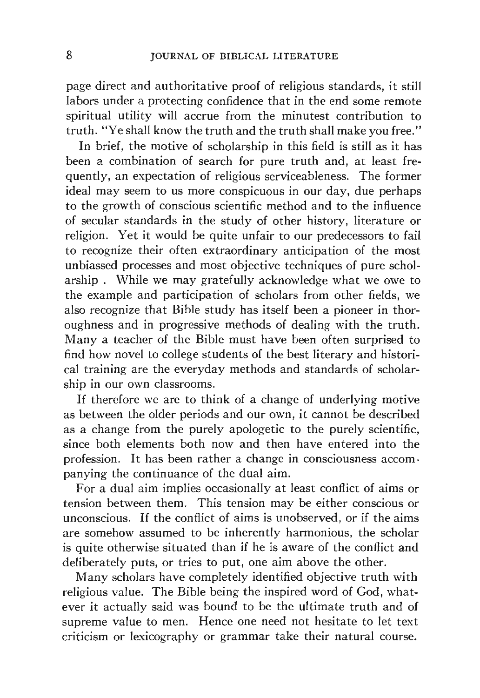page direct and authoritative proof of religious standards, it still labors under a protecting confidence that in the end some remote spiritual utility will accrue from the minutest contribution to truth. "Ye shall know the truth and the truth shall make you free."

In brief, the motive of scholarship in this field is still as it has been a combination of search for pure truth and, at least frequently, an expectation of religious serviceableness. The former ideal may seem to us more conspicuous in our day, due perhaps to the growth of conscious scientific method and to the influence of secular standards in the study of other history, literature or religion. Yet it would be quite unfair to our predecessors to fail to recognize their often extraordinary anticipation of the most unbiassed processes and most objective techniques of pure scholarship . While we may gratefully acknowledge what we owe to the example and participation of scholars from other fields, we also recognize that Bible study has itself been a pioneer in thoroughness and in progressive methods of dealing with the truth. Many a teacher of the Bible must have been often surprised to find how novel to college students of the best literary and historical training are the everyday methods and standards of scholarship in our own classrooms.

If therefore we are to think of a change of underlying motive as between the older periods and our own, it cannot be described as a change from the purely apologetic to the purely scientific, since both elements both now and then have entered into the profession. It has been rather a change in consciousness accompanying the continuance of the dual aim.

For a dual aim implies occasionally at least conflict of aims or tension between them. This tension may be either conscious or unconscious. If the conflict of aims is unobserved, or if the aims are somehow assumed to be inherently harmonious, the scholar is quite otherwise situated than if he is aware of the conflict and deliberately puts, or tries to put, one aim above the other.

Many scholars have completely identified objective truth with religious value. The Bible being the inspired word of God, whatever it actually said was bound to be the ultimate truth and of supreme value to men. Hence one need not hesitate to let text criticism or lexicography or grammar take their natural course.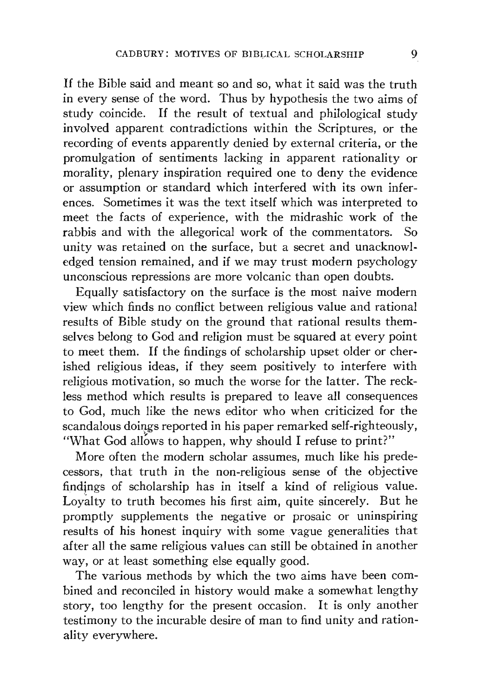If the Bible said and meant so and so, what it said was the truth in every sense of the word. Thus by hypothesis the two aims of study coincide. If the result of textual and philological study involved apparent contradictions within the Scriptures, or the recording of events apparently denied by external criteria, or the promulgation of sentiments lacking in apparent rationality or morality, plenary inspiration required one to deny the evidence or assumption or standard which interfered with its own inferences. Sometimes it was the text itself which was interpreted to meet the facts of experience, with the midrashic work of the rabbis and with the allegorical work of the commentators. So unity was retained on the surface, but a secret and unacknowledged tension remained, and if we may trust modern psychology unconscious repressions are more volcanic than open doubts.

Equally satisfactory on the surface is the most naive modern view which finds no conflict between religious value and rational results of Bible study on the ground that rational results themselves belong to God and religion must be squared at every point to meet them. If the findings of scholarship upset older or cherished religious ideas, if they seem positively to interfere with religious motivation, so much the worse for the latter. The reckless method which results is prepared to leave all consequences to God, much like the news editor who when criticized for the scandalous doings reported in his paper remarked self-righteously, "What God allows to happen, why should I refuse to print?"

More often the modern scholar assumes, much like his predecessors, that truth in the non-religious sense of the objective findings of scholarship has in itself a kind of religious value. Loyalty to truth becomes his first aim, quite sincerely. But he promptly supplements the negative or prosaic or uninspiring results of his honest inquiry with some vague generalities that after all the same religious values can still be obtained in another way, or at least something else equally good.

The various methods by which the two aims have been combined and reconciled in history would make a somewhat lengthy story, too lengthy for the present occasion. It is only another testimony to the incurable desire of man to find unity and rationality everywhere.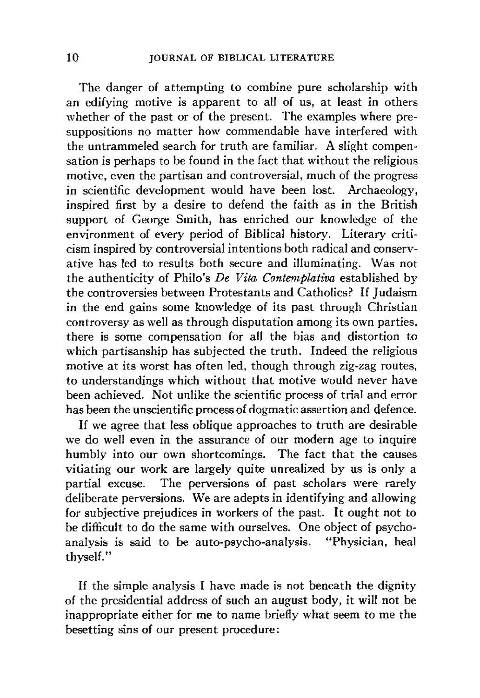The danger of attempting to combine pure scholarship with an edifying motive is apparent to all of us, at least in others whether of the past or of the present. The examples where presuppositions no matter how commendable have interfered with the untrammeled search for truth are familiar. A slight compensation is perhaps to be found in the fact that without the religious motive, even the partisan and controversial, much of the progress in scientific development would have been lost. Archaeology, inspired first by a desire to defend the faith as in the British support of George Smith, has enriched our knowledge of the environment of every period of Biblical history. Literary criticism inspired by controversial intentions both radical and conservative has led to results both secure and illuminating. Was not the authenticity of Philo's *De Vita Contemplativa* established by the controversies between Protestants and Catholics? If Judaism in the end gains some knowledge of its past through Christian controversy as well as through disputation among its own parties, there is some compensation for all the bias and distortion to which partisanship has subjected the truth. Indeed the religious motive at its worst has often led, though through zig-zag routes, to understandings which without that motive would never have been achieved. Not unlike the scientific process of trial and error has been the unscientific process of dogmatic assertion and defence.

If we agree that less oblique approaches to truth are desirable we do well even in the assurance of our modern age to inquire humbly into our own shortcomings. The fact that the causes vitiating our work are largely quite unrealized by us is only a partial excuse. The perversions of past scholars were rarely deliberate perversions. We are adepts in identifying and allowing for subjective prejudices in workers of the past. It ought not to be difficult to do the same with ourselves. One object of psychoanalysis is said to be auto-psycho-analysis. "Physician, heal thyself."

If the simple analysis I have made is not beneath the dignity of the presidential address of such an august body, it will not be inappropriate either for me to name briefly what seem to me the besetting sins of our present procedure: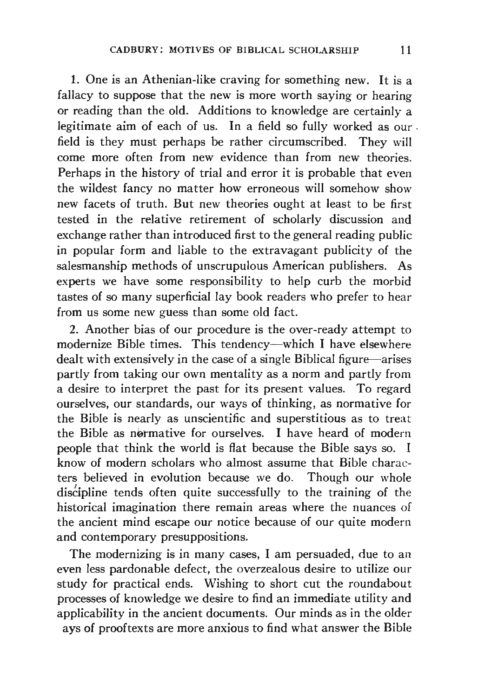1. One is an Athenian-like craving for something new. It is a fallacy to suppose that the new is more worth saying or hearing or reading than the old. Additions to knowledge are certainly a legitimate aim of each of us. In a field so fully worked as our . field is they must perhaps be rather circumscribed. They will come more often from new evidence than from new theories. Perhaps in the history of trial and error it is probable that even the wildest fancy no matter how erroneous will somehow show new facets of truth. But new theories ought at least to be first tested in the relative retirement of scholarly discussion and exchange rather than introduced first to the general reading public in popular form and liable to the extravagant publicity of the salesmanship methods of unscrupulous American publishers. As experts we have some responsibility to help curb the morbid tastes of so many superficial lay book readers who prefer to hear from us some new guess than some old fact.

2. Another bias of our procedure is the over-ready attempt to modernize Bible times. This tendency—which I have elsewhere dealt with extensively in the case of a single Biblical figure-arises partly from taking our own mentality as a norm and partly from a desire to interpret the past for its present values. To regard ourselves, our standards, our ways of thinking, as normative for the Bible is nearly as unscientific and superstitious as to treat the Bible as normative for ourselves. I have heard of modern people that think the world is flat because the Bible says so. I know of modern scholars who almost assume that Bible characters believed in evolution because we do. Though our whole discipline tends often quite successfully to the training of the historical imagination there remain areas where the nuances of the ancient mind escape our notice because of our quite modern and contemporary presuppositions.

The modernizing is in many cases, I am persuaded, due to an even less pardonable defect, the overzealous desire to utilize our study for practical ends. Wishing to short cut the roundabout processes of knowledge we desire to find an immediate utility and applicability in the ancient documents. Our minds as in the older ays of prooftexts are more anxious to find what answer the Bible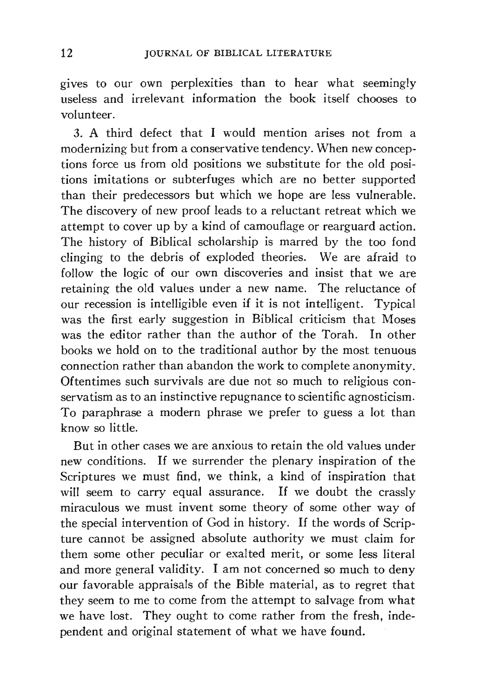gives to our own perplexities than to hear what seemingly useless and irrelevant information the book itself chooses to volunteer.

3. A third defect that I would mention arises not from a modernizing but from a conservative tendency. When new conceptions force us from old positions we substitute for the old positions imitations or subterfuges which are no better supported than their predecessors but which we hope are less vulnerable. The discovery of new proof leads to a reluctant retreat which we attempt to cover up by a kind of camouflage or rearguard action. The history of Biblical scholarship is marred by the too fond clinging to the debris of exploded theories. We are afraid to follow the logic of our own discoveries and insist that we are retaining the old values under a new name. The reluctance of our recession is intelligible even if it is not intelligent. Typical was the first early suggestion in Biblical criticism that Moses was the editor rather than the author of the Torah. In other books we hold on to the traditional author by the most tenuous connection rather than abandon the work to complete anonymity. Oftentimes such survivals are due not so much to religious conservatism as to an instinctive repugnance to scientific agnosticism. To paraphrase a modern phrase we prefer to guess a lot than know so little.

But in other cases we are anxious to retain the old values under new conditions. If we surrender the plenary inspiration of the Scriptures we must find, we think, a kind of inspiration that will seem to carry equal assurance. If we doubt the crassly miraculous we must invent some theory of some other way of the special intervention of God in history. If the words of Scripture cannot be assigned absolute authority we must claim for them some other peculiar or exalted merit, or some less literal and more general validity. I am not concerned so much to deny our favorable appraisals of the Bible material, as to regret that they seem to me to come from the attempt to salvage from what we have lost. They ought to come rather from the fresh, independent and original statement of what we have found.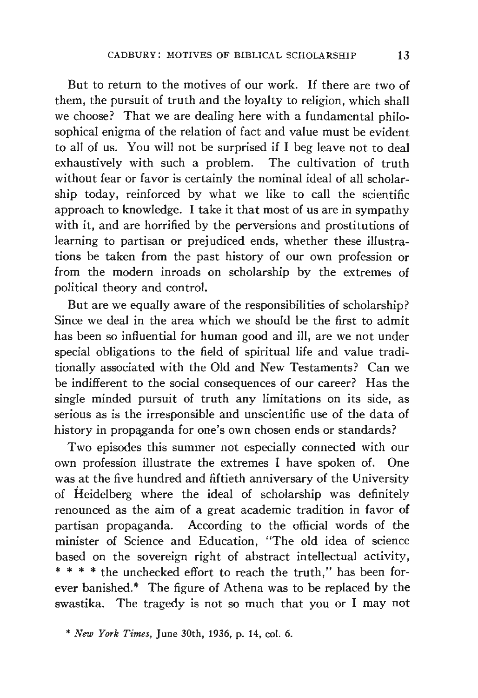But to return to the motives of our work. If there are two of them, the pursuit of truth and the loyalty to religion, which shall we choose? That we are dealing here with a fundamental philosophical enigma of the relation of fact and value must be evident to all of us. You will not be surprised if I beg leave not to deal exhaustively with such a problem. The cultivation of truth without fear or favor is certainly the nominal ideal of all scholarship today, reinforced by what we like to call the scientific approach to knowledge. I take it that most of us are in sympathy with it, and are horrified by the perversions and prostitutions of learning to partisan or prejudiced ends, whether these illustrations be taken from the past history of our own profession or from the modern inroads on scholarship by the extremes of political theory and control.

But are we equally aware of the responsibilities of scholarship? Since we deal in the area which we should be the first to admit has been so influential for human good and ill, are we not under special obligations to the field of spiritual life and value traditionally associated with the Old and New Testaments? Can we be indifferent to the social consequences of our career? Has the single minded pursuit of truth any limitations on its side, as serious as is the irresponsible and unscientific use of the data of history in propaganda for one's own chosen ends or standards?

Two episodes this summer not especially connected with our own profession illustrate the extremes I have spoken of. One was at the five hundred and fiftieth anniversary of the University of Heidelberg where the ideal of scholarship was definitely renounced as the aim of a great academic tradition in favor of partisan propaganda. According to the official words of the minister of Science and Education, "The old idea of science based on the sovereign right of abstract intellectual activity, \* \* \* \* the unchecked effort to reach the truth," has been forever banished.\* The figure of Athena was to be replaced by the swastika. The tragedy is not so much that you or I may not

*<sup>\*</sup>New York Times,* June 30th, 1936, p. 14, col. 6.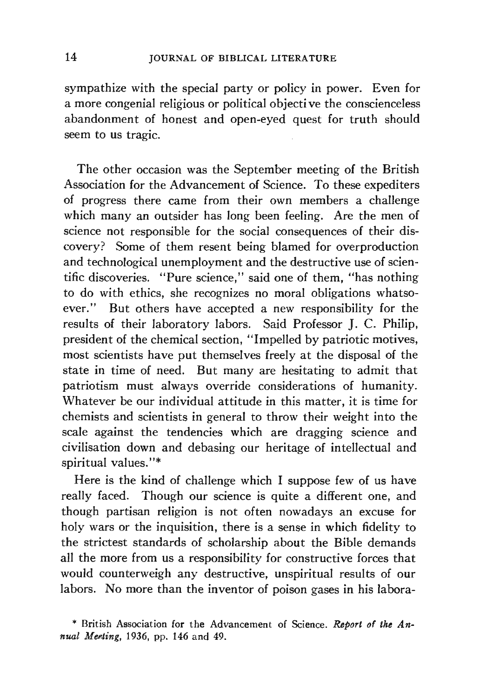sympathize with the special party or policy in power. Even for a more congenial religious or political objective the conscienceless abandonment of honest and open-eyed quest for truth should seem to us tragic.

The other occasion was the September meeting of the British Association for the Advancement of Science. To these expediters of progress there came from their own members a challenge which many an outsider has long been feeling. Are the men of science not responsible for the social consequences of their discovery? Some of them resent being blamed for overproduction and technological unemployment and the destructive use of scientific discoveries. "Pure science," said one of them, "has nothing to do with ethics, she recognizes no moral obligations whatsoever." But others have accepted a new responsibility for the results of their laboratory labors. Said Professor J. C. Philip, president of the chemical section, "Impelled by patriotic motives, most scientists have put themselves freely at the disposal of the state in time of need. But many are hesitating to admit that patriotism must always override considerations of humanity. Whatever be our individual attitude in this matter, it is time for chemists and scientists in general to throw their weight into the scale against the tendencies which are dragging science and civilisation down and debasing our heritage of intellectual and spiritual values."\*

Here is the kind of challenge which I suppose few of us have really faced. Though our science is quite a different one, and though partisan religion is not often nowadays an excuse for holy wars or the inquisition, there is a sense in which fidelity to the strictest standards of scholarship about the Bible demands all the more from us a responsibility for constructive forces that would counterweigh any destructive, unspiritual results of our labors. No more than the inventor of poison gases in his labora-

<sup>\*</sup> British Association for the Advancement of Science. Report of the An*nual Meeting, 1936, pp. 146 and 49.*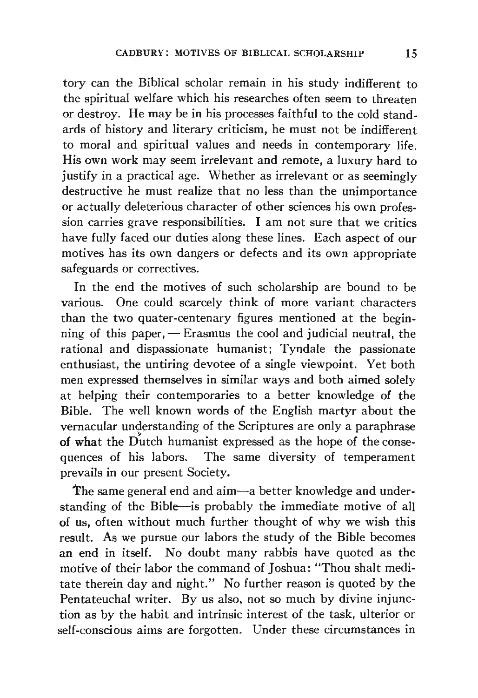tory can the Biblical scholar remain in his study indifferent to the spiritual welfare which his researches often seem to threaten or destroy. He may be in his processes faithful to the cold standards of history and literary criticism, he must not be indifferent to moral and spiritual values and needs in contemporary life. His own work may seem irrelevant and remote, a luxury hard to justify in a practical age. Whether as irrelevant or as seemingly destructive he must realize that no less than the unimportance or actually deleterious character of other sciences his own profession carries grave responsibilities. I am not sure that we critics have fully faced our duties along these lines. Each aspect of our motives has its own dangers or defects and its own appropriate safeguards or correctives.

In the end the motives of such scholarship are bound to be various. One could scarcely think of more variant characters than the two quater-centenary figures mentioned at the beginning of this paper,  $-$  Erasmus the cool and judicial neutral, the rational and dispassionate humanist; Tyndale the passionate enthusiast, the untiring devotee of a single viewpoint. Yet both men expressed themselves in similar ways and both aimed solely at helping their contemporaries to a better knowledge of the Bible. The well known words of the English martyr about the vernacular understanding of the Scriptures are only a paraphrase of what the Dutch humanist expressed as the hope of the consequences of his labors. The same diversity of temperament prevails in our present Society.

The same general end and aim-a better knowledge and understanding of the Bible-is probably the immediate motive of all of us, often without much further thought of why we wish this result. As we pursue our labors the study of the Bible becomes an end in itself. No doubt many rabbis have quoted as the motive of their labor the command of Joshua: "Thou shalt meditate therein day and night." No further reason is quoted by the Pentateuchal writer. By us also, not so much by divine injunction as by the habit and intrinsic interest of the task, ulterior or self-conscious aims are forgotten. Under these circumstances in